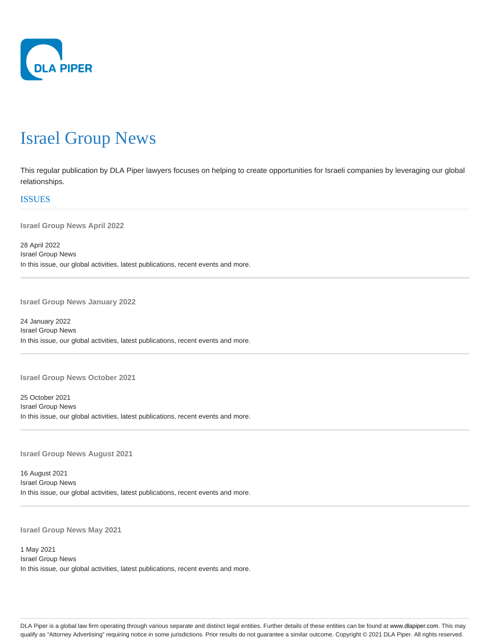

## Israel Group News

This regular publication by DLA Piper lawyers focuses on helping to create opportunities for Israeli companies by leveraging our global relationships.

## **ISSUES**

**Israel Group News April 2022**

28 April 2022 Israel Group News In this issue, our global activities, latest publications, recent events and more.

**Israel Group News January 2022**

24 January 2022 Israel Group News In this issue, our global activities, latest publications, recent events and more.

**Israel Group News October 2021**

25 October 2021 Israel Group News In this issue, our global activities, latest publications, recent events and more.

**Israel Group News August 2021**

16 August 2021 Israel Group News In this issue, our global activities, latest publications, recent events and more.

**Israel Group News May 2021**

1 May 2021 Israel Group News In this issue, our global activities, latest publications, recent events and more.

DLA Piper is a global law firm operating through various separate and distinct legal entities. Further details of these entities can be found at www.dlapiper.com. This may qualify as "Attorney Advertising" requiring notice in some jurisdictions. Prior results do not guarantee a similar outcome. Copyright @ 2021 DLA Piper. All rights reserved.